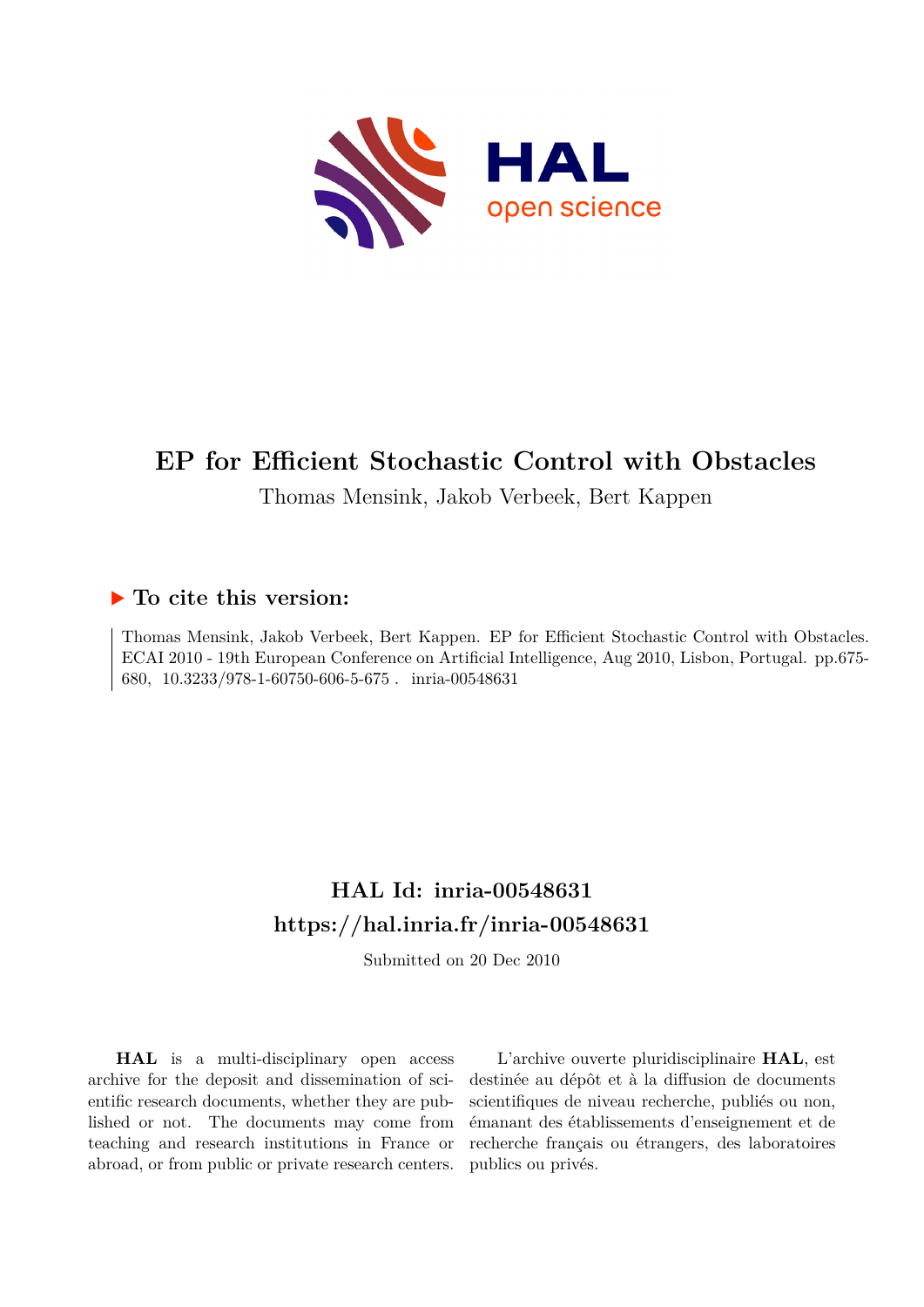

## **EP for Efficient Stochastic Control with Obstacles**

Thomas Mensink, Jakob Verbeek, Bert Kappen

### **To cite this version:**

Thomas Mensink, Jakob Verbeek, Bert Kappen. EP for Efficient Stochastic Control with Obstacles. ECAI 2010 - 19th European Conference on Artificial Intelligence, Aug 2010, Lisbon, Portugal. pp.675- 680, 10.3233/978-1-60750-606-5-675. inria-00548631

# **HAL Id: inria-00548631 <https://hal.inria.fr/inria-00548631>**

Submitted on 20 Dec 2010

**HAL** is a multi-disciplinary open access archive for the deposit and dissemination of scientific research documents, whether they are published or not. The documents may come from teaching and research institutions in France or abroad, or from public or private research centers.

L'archive ouverte pluridisciplinaire **HAL**, est destinée au dépôt et à la diffusion de documents scientifiques de niveau recherche, publiés ou non, émanant des établissements d'enseignement et de recherche français ou étrangers, des laboratoires publics ou privés.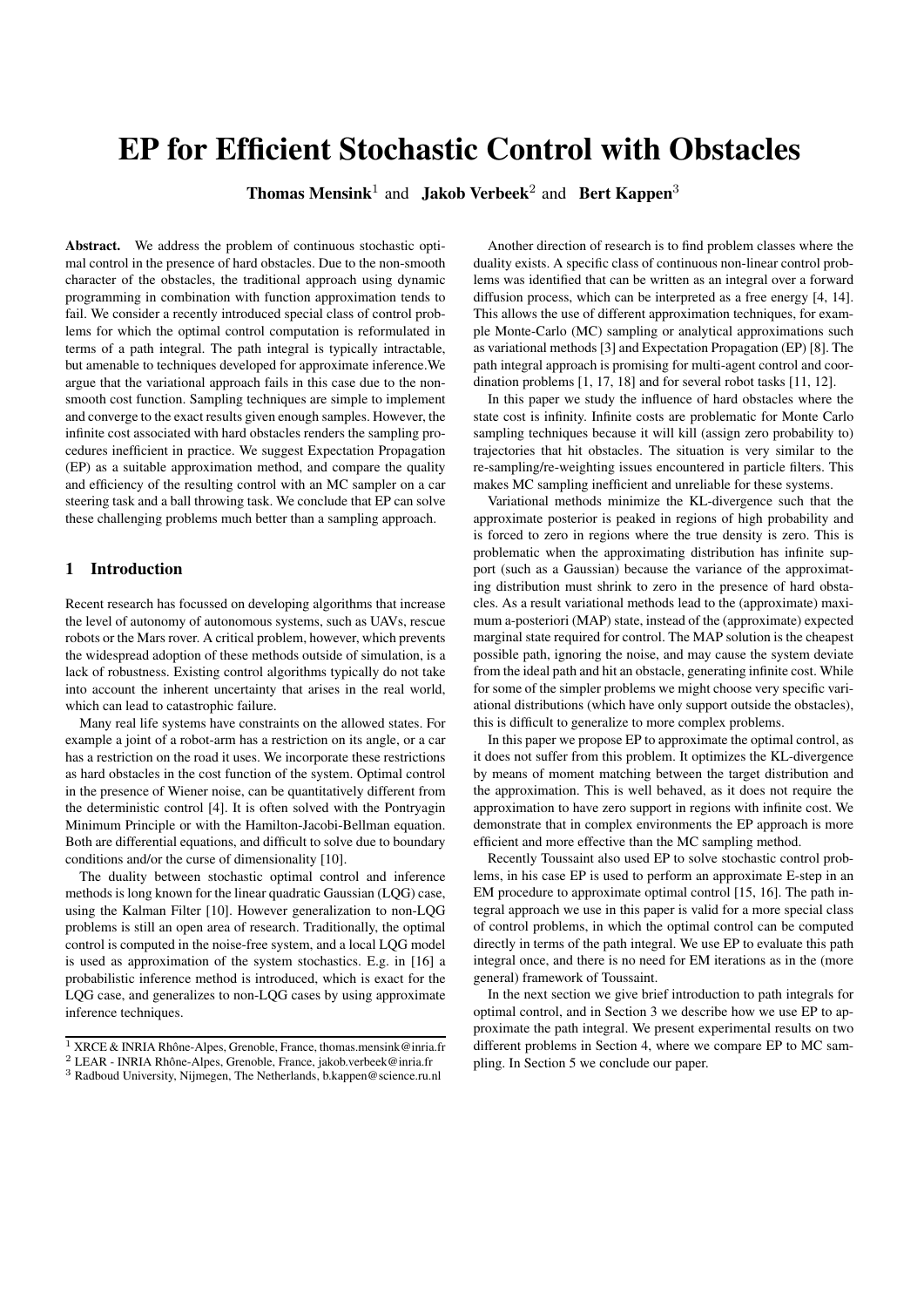# EP for Efficient Stochastic Control with Obstacles

**Thomas Mensink**<sup>1</sup> and **Jakob Verbeek**<sup>2</sup> and **Bert Kappen**<sup>3</sup>

Abstract. We address the problem of continuous stochastic optimal control in the presence of hard obstacles. Due to the non-smooth character of the obstacles, the traditional approach using dynamic programming in combination with function approximation tends to fail. We consider a recently introduced special class of control problems for which the optimal control computation is reformulated in terms of a path integral. The path integral is typically intractable, but amenable to techniques developed for approximate inference.We argue that the variational approach fails in this case due to the nonsmooth cost function. Sampling techniques are simple to implement and converge to the exact results given enough samples. However, the infinite cost associated with hard obstacles renders the sampling procedures inefficient in practice. We suggest Expectation Propagation (EP) as a suitable approximation method, and compare the quality and efficiency of the resulting control with an MC sampler on a car steering task and a ball throwing task. We conclude that EP can solve these challenging problems much better than a sampling approach.

#### 1 Introduction

Recent research has focussed on developing algorithms that increase the level of autonomy of autonomous systems, such as UAVs, rescue robots or the Mars rover. A critical problem, however, which prevents the widespread adoption of these methods outside of simulation, is a lack of robustness. Existing control algorithms typically do not take into account the inherent uncertainty that arises in the real world, which can lead to catastrophic failure.

Many real life systems have constraints on the allowed states. For example a joint of a robot-arm has a restriction on its angle, or a car has a restriction on the road it uses. We incorporate these restrictions as hard obstacles in the cost function of the system. Optimal control in the presence of Wiener noise, can be quantitatively different from the deterministic control [4]. It is often solved with the Pontryagin Minimum Principle or with the Hamilton-Jacobi-Bellman equation. Both are differential equations, and difficult to solve due to boundary conditions and/or the curse of dimensionality [10].

The duality between stochastic optimal control and inference methods is long known for the linear quadratic Gaussian (LQG) case, using the Kalman Filter [10]. However generalization to non-LQG problems is still an open area of research. Traditionally, the optimal control is computed in the noise-free system, and a local LQG model is used as approximation of the system stochastics. E.g. in [16] a probabilistic inference method is introduced, which is exact for the LQG case, and generalizes to non-LQG cases by using approximate inference techniques.

<sup>1</sup> XRCE & INRIA Rhône-Alpes, Grenoble, France, thomas mensink@inria.fr

Another direction of research is to find problem classes where the duality exists. A specific class of continuous non-linear control problems was identified that can be written as an integral over a forward diffusion process, which can be interpreted as a free energy [4, 14]. This allows the use of different approximation techniques, for example Monte-Carlo (MC) sampling or analytical approximations such as variational methods [3] and Expectation Propagation (EP) [8]. The path integral approach is promising for multi-agent control and coordination problems [1, 17, 18] and for several robot tasks [11, 12].

In this paper we study the influence of hard obstacles where the state cost is infinity. Infinite costs are problematic for Monte Carlo sampling techniques because it will kill (assign zero probability to) trajectories that hit obstacles. The situation is very similar to the re-sampling/re-weighting issues encountered in particle filters. This makes MC sampling inefficient and unreliable for these systems.

Variational methods minimize the KL-divergence such that the approximate posterior is peaked in regions of high probability and is forced to zero in regions where the true density is zero. This is problematic when the approximating distribution has infinite support (such as a Gaussian) because the variance of the approximating distribution must shrink to zero in the presence of hard obstacles. As a result variational methods lead to the (approximate) maximum a-posteriori (MAP) state, instead of the (approximate) expected marginal state required for control. The MAP solution is the cheapest possible path, ignoring the noise, and may cause the system deviate from the ideal path and hit an obstacle, generating infinite cost. While for some of the simpler problems we might choose very specific variational distributions (which have only support outside the obstacles), this is difficult to generalize to more complex problems.

In this paper we propose EP to approximate the optimal control, as it does not suffer from this problem. It optimizes the KL-divergence by means of moment matching between the target distribution and the approximation. This is well behaved, as it does not require the approximation to have zero support in regions with infinite cost. We demonstrate that in complex environments the EP approach is more efficient and more effective than the MC sampling method.

Recently Toussaint also used EP to solve stochastic control problems, in his case EP is used to perform an approximate E-step in an EM procedure to approximate optimal control [15, 16]. The path integral approach we use in this paper is valid for a more special class of control problems, in which the optimal control can be computed directly in terms of the path integral. We use EP to evaluate this path integral once, and there is no need for EM iterations as in the (more general) framework of Toussaint.

In the next section we give brief introduction to path integrals for optimal control, and in Section 3 we describe how we use EP to approximate the path integral. We present experimental results on two different problems in Section 4, where we compare EP to MC sampling. In Section 5 we conclude our paper.

<sup>&</sup>lt;sup>2</sup> LEAR - INRIA Rhône-Alpes, Grenoble, France, jakob.verbeek@inria.fr

<sup>3</sup> Radboud University, Nijmegen, The Netherlands, b.kappen@science.ru.nl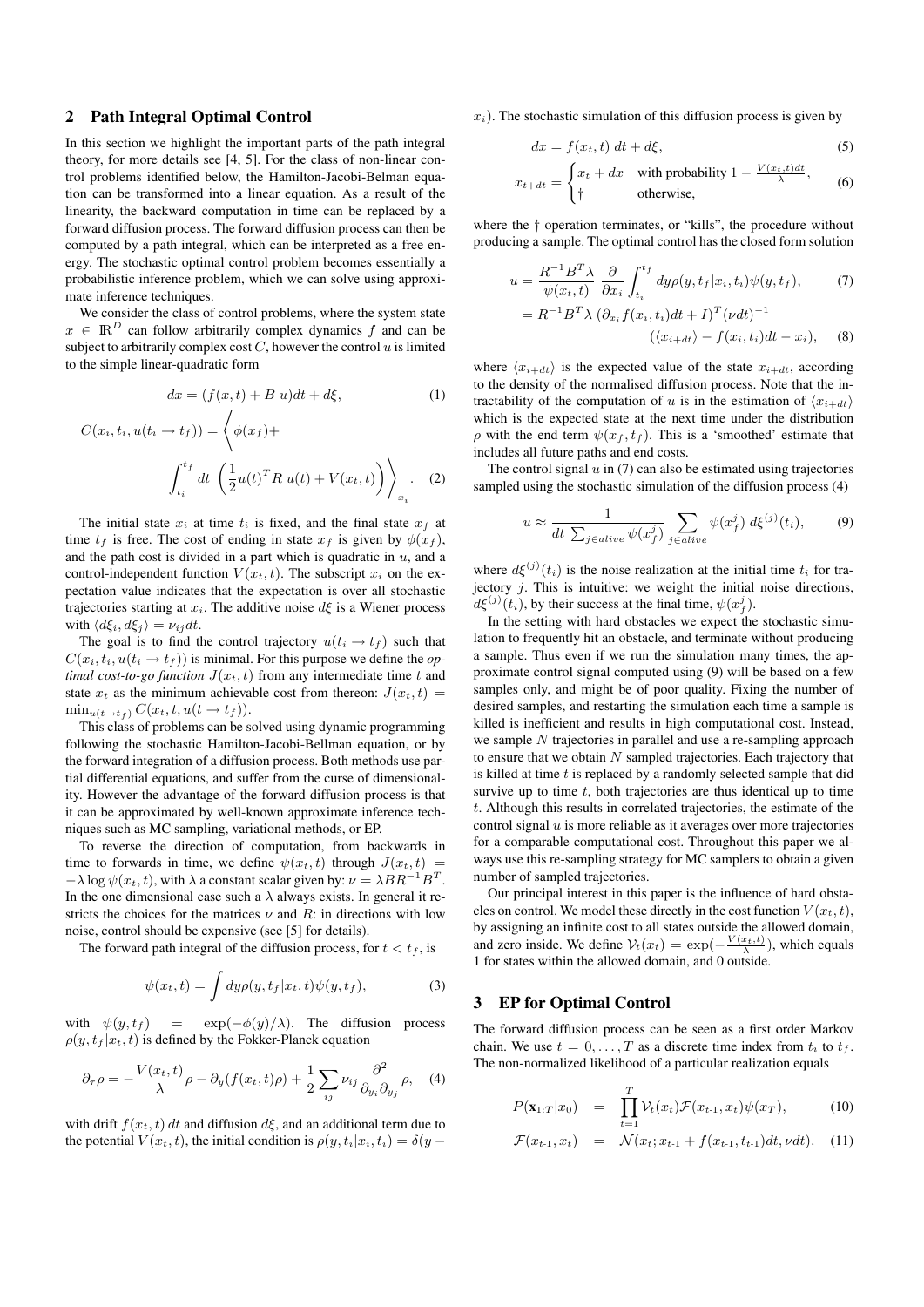#### 2 Path Integral Optimal Control

In this section we highlight the important parts of the path integral theory, for more details see [4, 5]. For the class of non-linear control problems identified below, the Hamilton-Jacobi-Belman equation can be transformed into a linear equation. As a result of the linearity, the backward computation in time can be replaced by a forward diffusion process. The forward diffusion process can then be computed by a path integral, which can be interpreted as a free energy. The stochastic optimal control problem becomes essentially a probabilistic inference problem, which we can solve using approximate inference techniques.

We consider the class of control problems, where the system state  $x \in \mathbb{R}^D$  can follow arbitrarily complex dynamics f and can be subject to arbitrarily complex cost  $C$ , however the control  $u$  is limited to the simple linear-quadratic form

$$
dx = (f(x, t) + B u)dt + d\xi,
$$
 (1)

$$
C(x_i, t_i, u(t_i \to t_f)) = \left\langle \phi(x_f) + \int_{t_i}^{t_f} dt \left( \frac{1}{2} u(t)^T R u(t) + V(x_t, t) \right) \right\rangle_{x_i}.
$$
 (2)

The initial state  $x_i$  at time  $t_i$  is fixed, and the final state  $x_f$  at time  $t_f$  is free. The cost of ending in state  $x_f$  is given by  $\phi(x_f)$ , and the path cost is divided in a part which is quadratic in  $u$ , and a control-independent function  $V(x_t, t)$ . The subscript  $x_i$  on the expectation value indicates that the expectation is over all stochastic trajectories starting at  $x_i$ . The additive noise  $d\xi$  is a Wiener process with  $\langle d\xi_i, d\xi_j \rangle = \nu_{ij} dt$ .

The goal is to find the control trajectory  $u(t_i \rightarrow t_f)$  such that  $C(x_i, t_i, u(t_i \rightarrow t_f))$  is minimal. For this purpose we define the *optimal cost-to-go function*  $J(x_t, t)$  from any intermediate time t and state  $x_t$  as the minimum achievable cost from thereon:  $J(x_t, t) =$  $\min_{u(t \to t_f)} C(x_t, t, u(t \to t_f)).$ 

This class of problems can be solved using dynamic programming following the stochastic Hamilton-Jacobi-Bellman equation, or by the forward integration of a diffusion process. Both methods use partial differential equations, and suffer from the curse of dimensionality. However the advantage of the forward diffusion process is that it can be approximated by well-known approximate inference techniques such as MC sampling, variational methods, or EP.

To reverse the direction of computation, from backwards in time to forwards in time, we define  $\psi(x_t, t)$  through  $J(x_t, t)$  $-\lambda \log \psi(x_t, t)$ , with  $\lambda$  a constant scalar given by:  $\nu = \lambda BR^{-1}B^T$ . In the one dimensional case such a  $\lambda$  always exists. In general it restricts the choices for the matrices  $\nu$  and  $R$ : in directions with low noise, control should be expensive (see [5] for details).

The forward path integral of the diffusion process, for  $t < t_f$ , is

$$
\psi(x_t, t) = \int dy \rho(y, t_f | x_t, t) \psi(y, t_f), \tag{3}
$$

with  $\psi(y, t_f)$  =  $\exp(-\phi(y)/\lambda)$ . The diffusion process  $\rho(y, t_f | x_t, t)$  is defined by the Fokker-Planck equation

$$
\partial_{\tau}\rho = -\frac{V(x_t, t)}{\lambda}\rho - \partial_y(f(x_t, t)\rho) + \frac{1}{2}\sum_{ij}\nu_{ij}\frac{\partial^2}{\partial_{y_i}\partial_{y_j}}\rho, \quad (4)
$$

with drift  $f(x_t, t) dt$  and diffusion  $d\xi$ , and an additional term due to the potential  $V(x_t, t)$ , the initial condition is  $\rho(y, t_i|x_i, t_i) = \delta(y - t_i)$ 

 $x_i$ ). The stochastic simulation of this diffusion process is given by

$$
dx = f(x_t, t) dt + d\xi,
$$
\n(5)

$$
x_{t+dt} = \begin{cases} x_t + dx & \text{with probability } 1 - \frac{V(x_t, t)dt}{\lambda}, \\ \dagger & \text{otherwise,} \end{cases}
$$
 (6)

where the  $\dagger$  operation terminates, or "kills", the procedure without producing a sample. The optimal control has the closed form solution

$$
u = \frac{R^{-1}B^{T}\lambda}{\psi(x_{t},t)} \frac{\partial}{\partial x_{i}} \int_{t_{i}}^{t_{f}} dy \rho(y, t_{f}|x_{i}, t_{i}) \psi(y, t_{f}), \qquad (7)
$$

$$
= R^{-1}B^{T}\lambda \left(\partial_{x_{i}} f(x_{i}, t_{i}) dt + I\right)^{T} (\nu dt)^{-1} \left(\langle x_{i+dt} \rangle - f(x_{i}, t_{i}) dt - x_{i}\right), \qquad (8)
$$

where  $\langle x_{i+dt} \rangle$  is the expected value of the state  $x_{i+dt}$ , according to the density of the normalised diffusion process. Note that the intractability of the computation of u is in the estimation of  $\langle x_{i+dt} \rangle$ which is the expected state at the next time under the distribution  $ρ$  with the end term  $ψ(x<sub>f</sub>, t<sub>f</sub>)$ . This is a 'smoothed' estimate that includes all future paths and end costs.

The control signal  $u$  in (7) can also be estimated using trajectories sampled using the stochastic simulation of the diffusion process (4)

$$
u \approx \frac{1}{dt \sum_{j \in alive} \psi(x_f^j)} \sum_{j \in alive} \psi(x_f^j) d\xi^{(j)}(t_i), \qquad (9)
$$

where  $d\xi^{(j)}(t_i)$  is the noise realization at the initial time  $t_i$  for trajectory  $j$ . This is intuitive: we weight the initial noise directions,  $d\xi^{(j)}(t_i)$ , by their success at the final time,  $\psi(x_j^j)$ .

In the setting with hard obstacles we expect the stochastic simulation to frequently hit an obstacle, and terminate without producing a sample. Thus even if we run the simulation many times, the approximate control signal computed using (9) will be based on a few samples only, and might be of poor quality. Fixing the number of desired samples, and restarting the simulation each time a sample is killed is inefficient and results in high computational cost. Instead, we sample N trajectories in parallel and use a re-sampling approach to ensure that we obtain  $N$  sampled trajectories. Each trajectory that is killed at time  $t$  is replaced by a randomly selected sample that did survive up to time  $t$ , both trajectories are thus identical up to time t. Although this results in correlated trajectories, the estimate of the control signal  $u$  is more reliable as it averages over more trajectories for a comparable computational cost. Throughout this paper we always use this re-sampling strategy for MC samplers to obtain a given number of sampled trajectories.

Our principal interest in this paper is the influence of hard obstacles on control. We model these directly in the cost function  $V(x_t, t)$ , by assigning an infinite cost to all states outside the allowed domain, and zero inside. We define  $V_t(x_t) = \exp(-\frac{V(x_t, t)}{\lambda})$ , which equals 1 for states within the allowed domain, and 0 outside.

#### 3 EP for Optimal Control

The forward diffusion process can be seen as a first order Markov chain. We use  $t = 0, \ldots, T$  as a discrete time index from  $t_i$  to  $t_f$ . The non-normalized likelihood of a particular realization equals

$$
P(\mathbf{x}_{1:T}|x_0) = \prod_{t=1}^T \mathcal{V}_t(x_t) \mathcal{F}(x_{t-1}, x_t) \psi(x_T), \quad (10)
$$

$$
\mathcal{F}(x_{t-1}, x_t) = \mathcal{N}(x_t; x_{t-1} + f(x_{t-1}, t_{t-1})dt, \nu dt). \quad (11)
$$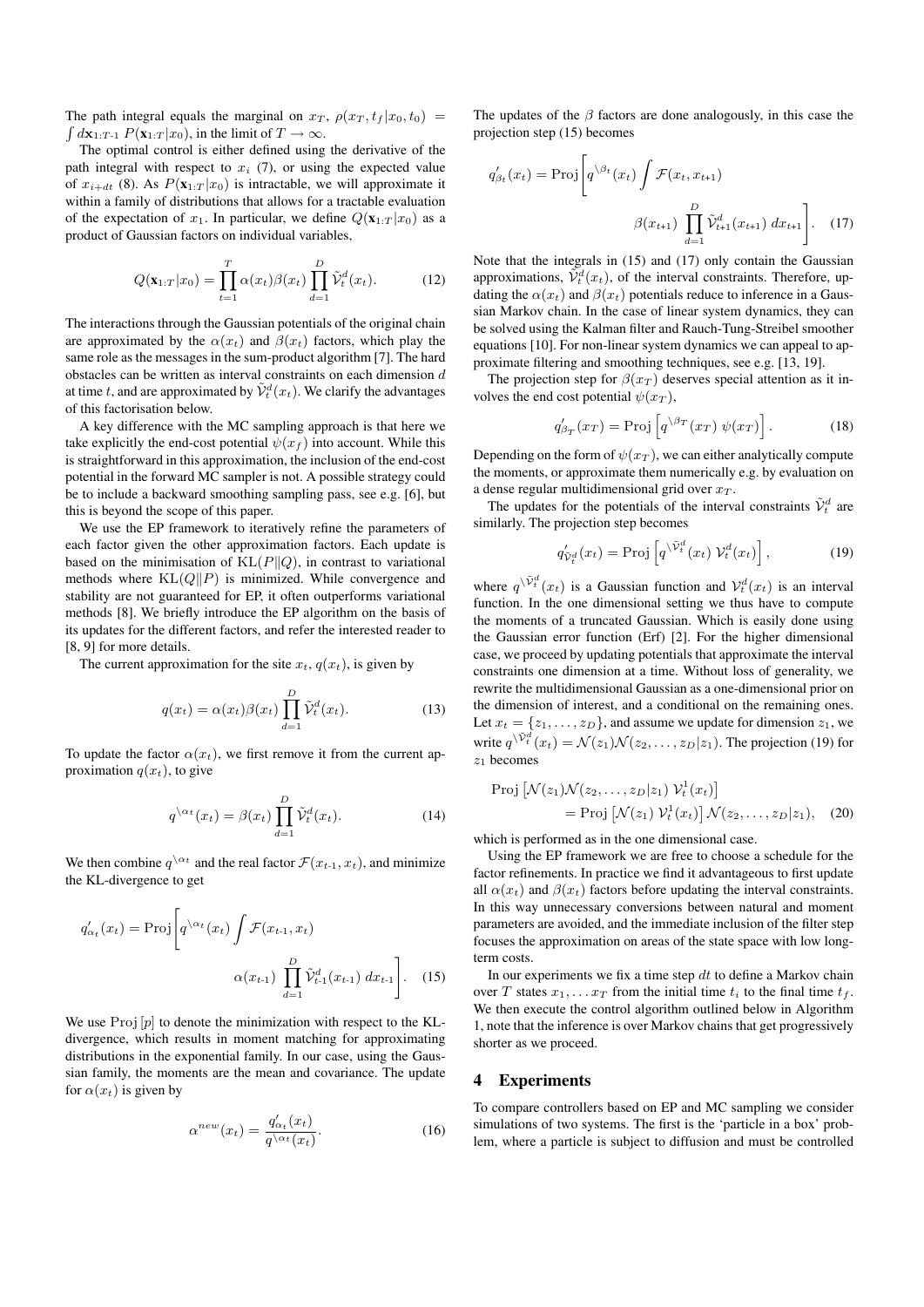The path integral equals the marginal on  $x_T$ ,  $\rho(x_T, t_f | x_0, t_0)$  $\int d\mathbf{x}_{1:T-1} P(\mathbf{x}_{1:T} | x_0)$ , in the limit of  $T \to \infty$ .

The optimal control is either defined using the derivative of the path integral with respect to  $x_i$  (7), or using the expected value of  $x_{i+dt}$  (8). As  $P(\mathbf{x}_{1:T} | x_0)$  is intractable, we will approximate it within a family of distributions that allows for a tractable evaluation of the expectation of  $x_1$ . In particular, we define  $Q(\mathbf{x}_{1:T} | x_0)$  as a product of Gaussian factors on individual variables,

$$
Q(\mathbf{x}_{1:T}|x_0) = \prod_{t=1}^T \alpha(x_t) \beta(x_t) \prod_{d=1}^D \tilde{\mathcal{V}}_t^d(x_t).
$$
 (12)

The interactions through the Gaussian potentials of the original chain are approximated by the  $\alpha(x_t)$  and  $\beta(x_t)$  factors, which play the same role as the messages in the sum-product algorithm [7]. The hard obstacles can be written as interval constraints on each dimension d at time t, and are approximated by  $\tilde{\mathcal{V}}_t^d(x_t)$ . We clarify the advantages of this factorisation below.

A key difference with the MC sampling approach is that here we take explicitly the end-cost potential  $\psi(x_f)$  into account. While this is straightforward in this approximation, the inclusion of the end-cost potential in the forward MC sampler is not. A possible strategy could be to include a backward smoothing sampling pass, see e.g. [6], but this is beyond the scope of this paper.

We use the EP framework to iteratively refine the parameters of each factor given the other approximation factors. Each update is based on the minimisation of  $KL(P||Q)$ , in contrast to variational methods where  $KL(Q||P)$  is minimized. While convergence and stability are not guaranteed for EP, it often outperforms variational methods [8]. We briefly introduce the EP algorithm on the basis of its updates for the different factors, and refer the interested reader to [8, 9] for more details.

The current approximation for the site  $x_t$ ,  $q(x_t)$ , is given by

$$
q(x_t) = \alpha(x_t)\beta(x_t) \prod_{d=1}^{D} \tilde{\mathcal{V}}_t^d(x_t).
$$
 (13)

To update the factor  $\alpha(x_t)$ , we first remove it from the current approximation  $q(x_t)$ , to give

$$
q^{\setminus \alpha_t}(x_t) = \beta(x_t) \prod_{d=1}^{D} \tilde{\mathcal{V}}_t^d(x_t).
$$
 (14)

We then combine  $q^{\setminus \alpha_t}$  and the real factor  $\mathcal{F}(x_{t-1}, x_t)$ , and minimize the KL-divergence to get

$$
q'_{\alpha_t}(x_t) = \text{Proj}\left[q^{\setminus \alpha_t}(x_t) \int \mathcal{F}(x_{t-1}, x_t) \right]
$$

$$
\alpha(x_{t-1}) \prod_{d=1}^D \tilde{\mathcal{V}}_{t-1}^d(x_{t-1}) dx_{t-1} \right]. \quad (15)
$$

We use  $\text{Proj } [p]$  to denote the minimization with respect to the KLdivergence, which results in moment matching for approximating distributions in the exponential family. In our case, using the Gaussian family, the moments are the mean and covariance. The update for  $\alpha(x_t)$  is given by

$$
\alpha^{new}(x_t) = \frac{q'_{\alpha_t}(x_t)}{q^{\setminus \alpha_t}(x_t)}.\tag{16}
$$

The updates of the  $\beta$  factors are done analogously, in this case the projection step (15) becomes

$$
q'_{\beta_t}(x_t) = \text{Proj}\left[q^{\setminus \beta_t}(x_t) \int \mathcal{F}(x_t, x_{t+1})\right]
$$

$$
\beta(x_{t+1}) \prod_{d=1}^D \tilde{\mathcal{V}}_{t+1}^d(x_{t+1}) dx_{t+1}\right]. \quad (17)
$$

Note that the integrals in (15) and (17) only contain the Gaussian approximations,  $\tilde{\mathcal{V}}_t^d(x_t)$ , of the interval constraints. Therefore, updating the  $\alpha(x_t)$  and  $\beta(x_t)$  potentials reduce to inference in a Gaussian Markov chain. In the case of linear system dynamics, they can be solved using the Kalman filter and Rauch-Tung-Streibel smoother equations [10]. For non-linear system dynamics we can appeal to approximate filtering and smoothing techniques, see e.g. [13, 19].

The projection step for  $\beta(x_T)$  deserves special attention as it involves the end cost potential  $\psi(x_T)$ ,

$$
q'_{\beta_T}(x_T) = \text{Proj}\left[q^{\setminus \beta_T}(x_T) \psi(x_T)\right].\tag{18}
$$

Depending on the form of  $\psi(x_T)$ , we can either analytically compute the moments, or approximate them numerically e.g. by evaluation on a dense regular multidimensional grid over  $x_T$ .

The updates for the potentials of the interval constraints  $\tilde{\mathcal{V}}_t^d$  are similarly. The projection step becomes

$$
q'_{\tilde{\mathcal{V}}_t^d}(x_t) = \text{Proj}\left[q^{\setminus \tilde{\mathcal{V}}_t^d}(x_t) \mathcal{V}_t^d(x_t)\right],\tag{19}
$$

where  $q^{\setminus \tilde{\mathcal{V}}_t^d}(x_t)$  is a Gaussian function and  $\mathcal{V}_t^d(x_t)$  is an interval function. In the one dimensional setting we thus have to compute the moments of a truncated Gaussian. Which is easily done using the Gaussian error function (Erf) [2]. For the higher dimensional case, we proceed by updating potentials that approximate the interval constraints one dimension at a time. Without loss of generality, we rewrite the multidimensional Gaussian as a one-dimensional prior on the dimension of interest, and a conditional on the remaining ones. Let  $x_t = \{z_1, \ldots, z_D\}$ , and assume we update for dimension  $z_1$ , we write  $q^{\setminus \tilde{\mathcal{V}}_t^d}(x_t) = \mathcal{N}(z_1)\mathcal{N}(z_2,\ldots,z_D|z_1)$ . The projection (19) for  $z_1$  becomes

$$
\text{Proj}\left[\mathcal{N}(z_1)\mathcal{N}(z_2,\ldots,z_D|z_1) \mathcal{V}_t^1(x_t)\right]
$$
  
= 
$$
\text{Proj}\left[\mathcal{N}(z_1) \mathcal{V}_t^1(x_t)\right] \mathcal{N}(z_2,\ldots,z_D|z_1), \quad (20)
$$

which is performed as in the one dimensional case.

Using the EP framework we are free to choose a schedule for the factor refinements. In practice we find it advantageous to first update all  $\alpha(x_t)$  and  $\beta(x_t)$  factors before updating the interval constraints. In this way unnecessary conversions between natural and moment parameters are avoided, and the immediate inclusion of the filter step focuses the approximation on areas of the state space with low longterm costs.

In our experiments we fix a time step  $dt$  to define a Markov chain over T states  $x_1, \ldots x_T$  from the initial time  $t_i$  to the final time  $t_f$ . We then execute the control algorithm outlined below in Algorithm 1, note that the inference is over Markov chains that get progressively shorter as we proceed.

#### 4 Experiments

To compare controllers based on EP and MC sampling we consider simulations of two systems. The first is the 'particle in a box' problem, where a particle is subject to diffusion and must be controlled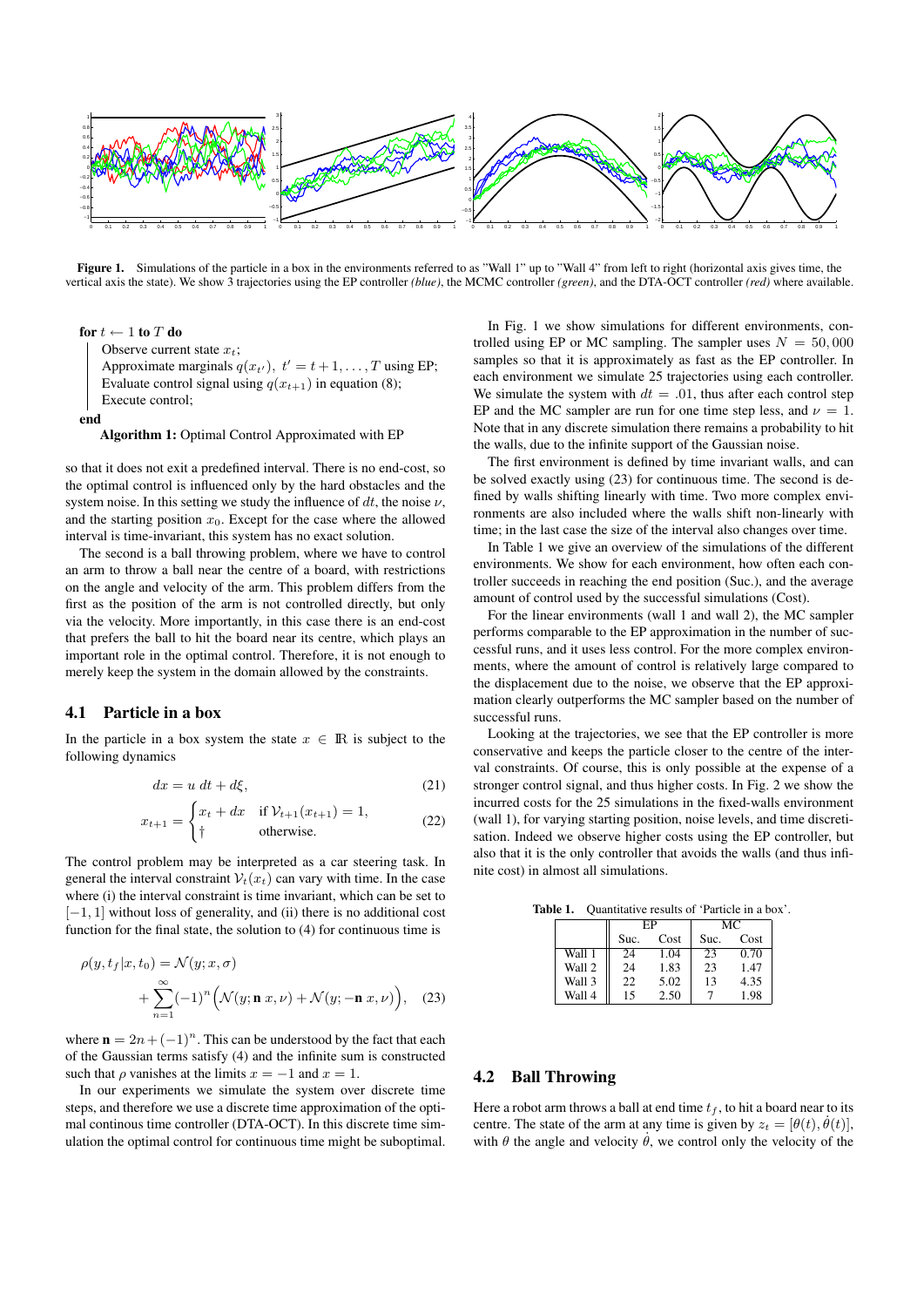

Figure 1. Simulations of the particle in a box in the environments referred to as "Wall 1" up to "Wall 4" from left to right (horizontal axis gives time, the vertical axis the state). We show 3 trajectories using the EP controller *(blue)*, the MCMC controller *(green)*, and the DTA-OCT controller *(red)* where available.

for  $t \leftarrow 1$  to  $T$  do Observe current state  $x_t$ ; Approximate marginals  $q(x_{t'})$ ,  $t' = t + 1, \ldots, T$  using EP; Evaluate control signal using  $q(x_{t+1})$  in equation (8); Execute control;

end

Algorithm 1: Optimal Control Approximated with EP

so that it does not exit a predefined interval. There is no end-cost, so the optimal control is influenced only by the hard obstacles and the system noise. In this setting we study the influence of  $dt$ , the noise  $\nu$ , and the starting position  $x_0$ . Except for the case where the allowed interval is time-invariant, this system has no exact solution.

The second is a ball throwing problem, where we have to control an arm to throw a ball near the centre of a board, with restrictions on the angle and velocity of the arm. This problem differs from the first as the position of the arm is not controlled directly, but only via the velocity. More importantly, in this case there is an end-cost that prefers the ball to hit the board near its centre, which plays an important role in the optimal control. Therefore, it is not enough to merely keep the system in the domain allowed by the constraints.

#### 4.1 Particle in a box

In the particle in a box system the state  $x \in \mathbb{R}$  is subject to the following dynamics

$$
dx = u dt + d\xi, \tag{21}
$$

$$
x_{t+1} = \begin{cases} x_t + dx & \text{if } \mathcal{V}_{t+1}(x_{t+1}) = 1, \\ \dagger & \text{otherwise.} \end{cases}
$$
 (22)

The control problem may be interpreted as a car steering task. In general the interval constraint  $V_t(x_t)$  can vary with time. In the case where (i) the interval constraint is time invariant, which can be set to [−1, 1] without loss of generality, and (ii) there is no additional cost function for the final state, the solution to (4) for continuous time is

$$
\rho(y, t_f | x, t_0) = \mathcal{N}(y; x, \sigma)
$$
  
+ 
$$
\sum_{n=1}^{\infty} (-1)^n \Big( \mathcal{N}(y; \mathbf{n} | x, \nu) + \mathcal{N}(y; -\mathbf{n} | x, \nu) \Big), \quad (23)
$$

where  $\mathbf{n} = 2n + (-1)^n$ . This can be understood by the fact that each of the Gaussian terms satisfy (4) and the infinite sum is constructed such that  $\rho$  vanishes at the limits  $x = -1$  and  $x = 1$ .

In our experiments we simulate the system over discrete time steps, and therefore we use a discrete time approximation of the optimal continous time controller (DTA-OCT). In this discrete time simulation the optimal control for continuous time might be suboptimal.

In Fig. 1 we show simulations for different environments, controlled using EP or MC sampling. The sampler uses  $N = 50,000$ samples so that it is approximately as fast as the EP controller. In each environment we simulate 25 trajectories using each controller. We simulate the system with  $dt = .01$ , thus after each control step EP and the MC sampler are run for one time step less, and  $\nu = 1$ . Note that in any discrete simulation there remains a probability to hit the walls, due to the infinite support of the Gaussian noise.

The first environment is defined by time invariant walls, and can be solved exactly using (23) for continuous time. The second is defined by walls shifting linearly with time. Two more complex environments are also included where the walls shift non-linearly with time; in the last case the size of the interval also changes over time.

In Table 1 we give an overview of the simulations of the different environments. We show for each environment, how often each controller succeeds in reaching the end position (Suc.), and the average amount of control used by the successful simulations (Cost).

For the linear environments (wall 1 and wall 2), the MC sampler performs comparable to the EP approximation in the number of successful runs, and it uses less control. For the more complex environments, where the amount of control is relatively large compared to the displacement due to the noise, we observe that the EP approximation clearly outperforms the MC sampler based on the number of successful runs.

Looking at the trajectories, we see that the EP controller is more conservative and keeps the particle closer to the centre of the interval constraints. Of course, this is only possible at the expense of a stronger control signal, and thus higher costs. In Fig. 2 we show the incurred costs for the 25 simulations in the fixed-walls environment (wall 1), for varying starting position, noise levels, and time discretisation. Indeed we observe higher costs using the EP controller, but also that it is the only controller that avoids the walls (and thus infinite cost) in almost all simulations.

Table 1. Quantitative results of 'Particle in a box'.

|        | FР   |      | МC   |      |
|--------|------|------|------|------|
|        | Suc. | Cost | Suc. | Cost |
| Wall 1 | 24   | 1.04 | 23   | 0.70 |
| Wall 2 | 24   | 1.83 | 23   | 1.47 |
| Wall 3 | 22   | 5.02 | 13   | 4.35 |
| Wall 4 | 15   | 2.50 |      | 1.98 |

#### 4.2 Ball Throwing

Here a robot arm throws a ball at end time  $t_f$ , to hit a board near to its centre. The state of the arm at any time is given by  $z_t = [\theta(t), \dot{\theta}(t)]$ . with  $\theta$  the angle and velocity  $\dot{\theta}$ , we control only the velocity of the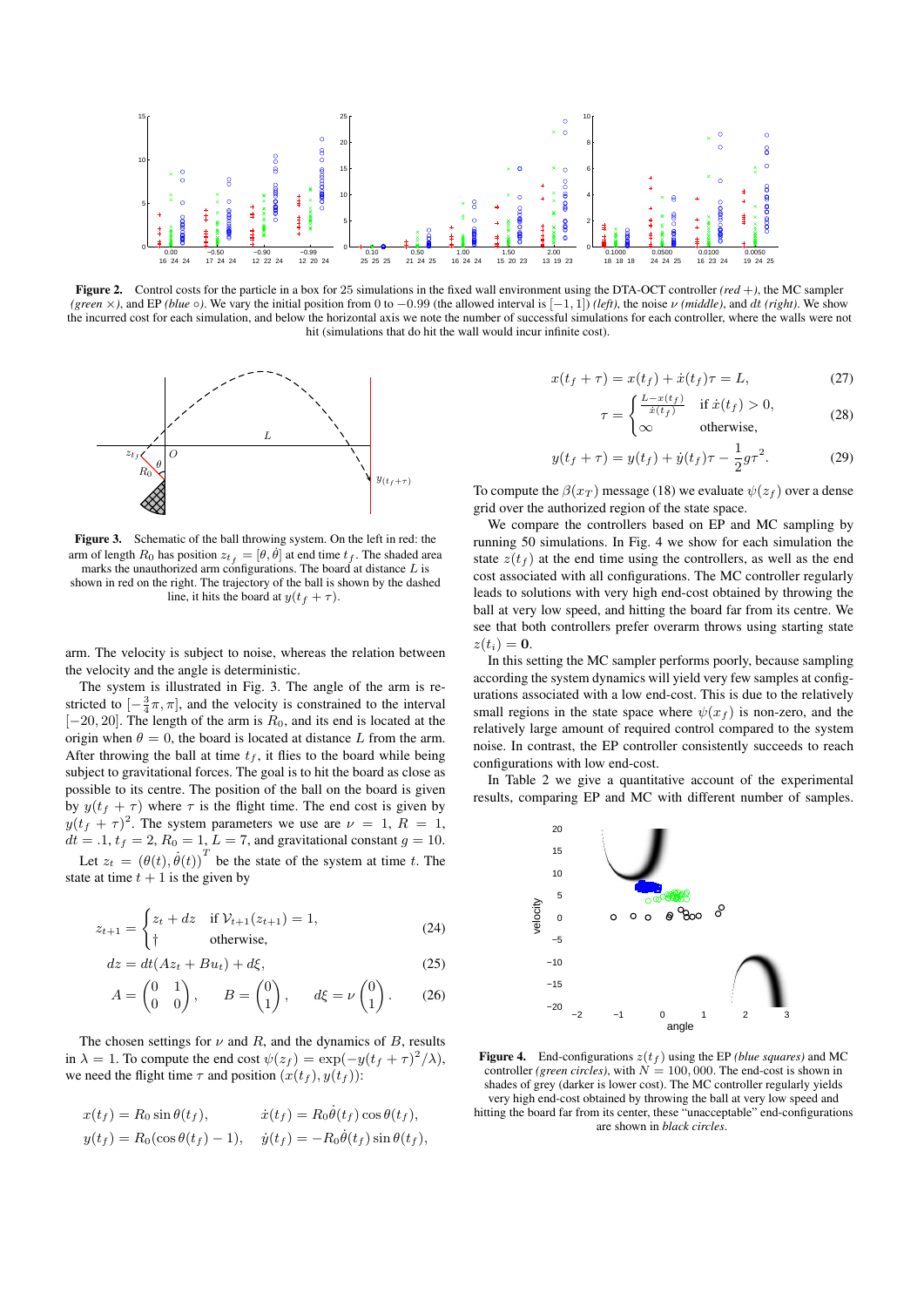

Figure 2. Control costs for the particle in a box for 25 simulations in the fixed wall environment using the DTA-OCT controller *(red* +*)*, the MC sampler *(green*  $\times$ *)*, and EP *(blue*  $\circ$ *)*. We vary the initial position from 0 to −0.99 (the allowed interval is  $[-1, 1]$ ) *(left)*, the noise  $\nu$  *(middle)*, and dt *(right)*. We show the incurred cost for each simulation, and below the horizontal axis we note the number of successful simulations for each controller, where the walls were not hit (simulations that do hit the wall would incur infinite cost).



Figure 3. Schematic of the ball throwing system. On the left in red: the arm of length  $R_0$  has position  $z_{t_f} = [\theta, \dot{\theta}]$  at end time  $t_f$ . The shaded area marks the unauthorized arm configurations. The board at distance  $L$  is shown in red on the right. The trajectory of the ball is shown by the dashed line, it hits the board at  $y(t_f + \tau)$ .

arm. The velocity is subject to noise, whereas the relation between the velocity and the angle is deterministic.

The system is illustrated in Fig. 3. The angle of the arm is restricted to  $[-\frac{3}{4}\pi, \pi]$ , and the velocity is constrained to the interval  $[-20, 20]$ . The length of the arm is  $R_0$ , and its end is located at the origin when  $\theta = 0$ , the board is located at distance L from the arm. After throwing the ball at time  $t_f$ , it flies to the board while being subject to gravitational forces. The goal is to hit the board as close as possible to its centre. The position of the ball on the board is given by  $y(t_f + \tau)$  where  $\tau$  is the flight time. The end cost is given by  $y(t_f + \tau)^2$ . The system parameters we use are  $\nu = 1, R = 1$ ,  $dt = 0.1$ ,  $t_f = 2$ ,  $R_0 = 1$ ,  $\overline{L} = 7$ , and gravitational constant  $g = 10$ . Let  $z_t = (\theta(t), \dot{\theta}(t))^T$  be the state of the system at time t. The

state at time  $t + 1$  is the given by

$$
z_{t+1} = \begin{cases} z_t + dz & \text{if } \mathcal{V}_{t+1}(z_{t+1}) = 1, \\ \dagger & \text{otherwise,} \end{cases}
$$
 (24)

$$
dz = dt(Az_t + Bu_t) + d\xi,
$$
\n(25)

$$
A = \begin{pmatrix} 0 & 1 \\ 0 & 0 \end{pmatrix}, \qquad B = \begin{pmatrix} 0 \\ 1 \end{pmatrix}, \qquad d\xi = \nu \begin{pmatrix} 0 \\ 1 \end{pmatrix}.
$$
 (26)

The chosen settings for  $\nu$  and R, and the dynamics of B, results in  $\lambda = 1$ . To compute the end cost  $\psi(z_f) = \exp(-y(t_f + \tau)^2/\lambda)$ , we need the flight time  $\tau$  and position  $(x(t_f), y(t_f))$ :

$$
x(t_f) = R_0 \sin \theta(t_f), \qquad \dot{x}(t_f) = R_0 \dot{\theta}(t_f) \cos \theta(t_f),
$$
  

$$
y(t_f) = R_0(\cos \theta(t_f) - 1), \quad \dot{y}(t_f) = -R_0 \dot{\theta}(t_f) \sin \theta(t_f),
$$

$$
x(t_f + \tau) = x(t_f) + \dot{x}(t_f)\tau = L,\tag{27}
$$

$$
\tau = \begin{cases} \frac{L - x(t_f)}{\dot{x}(t_f)} & \text{if } \dot{x}(t_f) > 0, \\ \infty & \text{otherwise,} \end{cases}
$$
 (28)

$$
y(t_f + \tau) = y(t_f) + \dot{y}(t_f)\tau - \frac{1}{2}g\tau^2.
$$
 (29)

To compute the  $\beta(x_T)$  message (18) we evaluate  $\psi(z_f)$  over a dense grid over the authorized region of the state space.

We compare the controllers based on EP and MC sampling by running 50 simulations. In Fig. 4 we show for each simulation the state  $z(t_f)$  at the end time using the controllers, as well as the end cost associated with all configurations. The MC controller regularly leads to solutions with very high end-cost obtained by throwing the ball at very low speed, and hitting the board far from its centre. We see that both controllers prefer overarm throws using starting state  $z(t_i) = 0.$ 

In this setting the MC sampler performs poorly, because sampling according the system dynamics will yield very few samples at configurations associated with a low end-cost. This is due to the relatively small regions in the state space where  $\psi(x_f)$  is non-zero, and the relatively large amount of required control compared to the system noise. In contrast, the EP controller consistently succeeds to reach configurations with low end-cost.

In Table 2 we give a quantitative account of the experimental results, comparing EP and MC with different number of samples.



**Figure 4.** End-configurations  $z(t_f)$  using the EP *(blue squares)* and MC controller *(green circles)*, with  $N = 100,000$ . The end-cost is shown in shades of grey (darker is lower cost). The MC controller regularly yields very high end-cost obtained by throwing the ball at very low speed and hitting the board far from its center, these "unacceptable" end-configurations are shown in *black circles*.